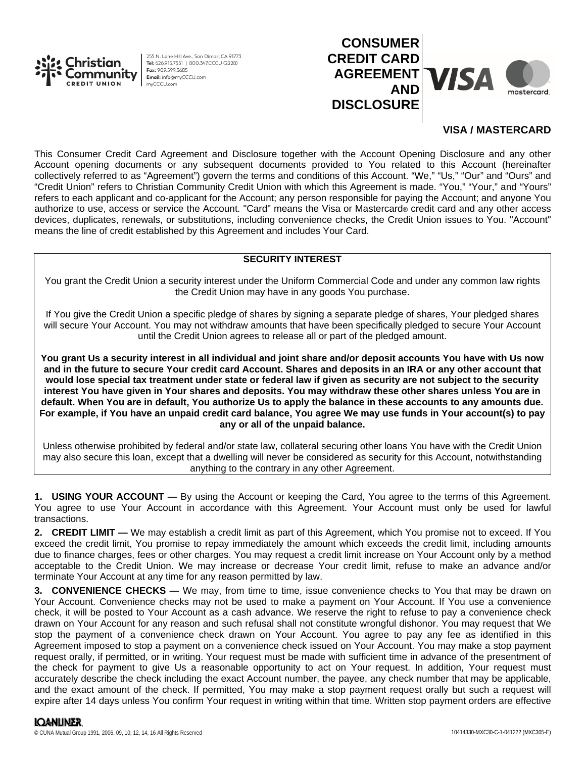

255 N. Lone Hill Ave., San Dimas, CA 91773 Tel: 626.915.7551 | 800.347.CCCU (2228) Fax: 909 599 5685 Email: info@myCCCU.com mvCCCU.com



# **VISA / MASTERCARD**

This Consumer Credit Card Agreement and Disclosure together with the Account Opening Disclosure and any other Account opening documents or any subsequent documents provided to You related to this Account (hereinafter collectively referred to as "Agreement") govern the terms and conditions of this Account. "We," "Us," "Our" and "Ours" and "Credit Union" refers to Christian Community Credit Union with which this Agreement is made. "You," "Your," and "Yours" refers to each applicant and co-applicant for the Account; any person responsible for paying the Account; and anyone You authorize to use, access or service the Account. "Card" means the Visa or Mastercard® credit card and any other access devices, duplicates, renewals, or substitutions, including convenience checks, the Credit Union issues to You. "Account" means the line of credit established by this Agreement and includes Your Card.

### **SECURITY INTEREST**

You grant the Credit Union a security interest under the Uniform Commercial Code and under any common law rights the Credit Union may have in any goods You purchase.

If You give the Credit Union a specific pledge of shares by signing a separate pledge of shares, Your pledged shares will secure Your Account. You may not withdraw amounts that have been specifically pledged to secure Your Account until the Credit Union agrees to release all or part of the pledged amount.

**You grant Us a security interest in all individual and joint share and/or deposit accounts You have with Us now and in the future to secure Your credit card Account. Shares and deposits in an IRA or any other account that would lose special tax treatment under state or federal law if given as security are not subject to the security interest You have given in Your shares and deposits. You may withdraw these other shares unless You are in default. When You are in default, You authorize Us to apply the balance in these accounts to any amounts due. For example, if You have an unpaid credit card balance, You agree We may use funds in Your account(s) to pay any or all of the unpaid balance.**

Unless otherwise prohibited by federal and/or state law, collateral securing other loans You have with the Credit Union may also secure this loan, except that a dwelling will never be considered as security for this Account, notwithstanding anything to the contrary in any other Agreement.

**1. USING YOUR ACCOUNT —** By using the Account or keeping the Card, You agree to the terms of this Agreement. You agree to use Your Account in accordance with this Agreement. Your Account must only be used for lawful transactions.

**2. CREDIT LIMIT —** We may establish a credit limit as part of this Agreement, which You promise not to exceed. If You exceed the credit limit, You promise to repay immediately the amount which exceeds the credit limit, including amounts due to finance charges, fees or other charges. You may request a credit limit increase on Your Account only by a method acceptable to the Credit Union. We may increase or decrease Your credit limit, refuse to make an advance and/or terminate Your Account at any time for any reason permitted by law.

**3. CONVENIENCE CHECKS —** We may, from time to time, issue convenience checks to You that may be drawn on Your Account. Convenience checks may not be used to make a payment on Your Account. If You use a convenience check, it will be posted to Your Account as a cash advance. We reserve the right to refuse to pay a convenience check drawn on Your Account for any reason and such refusal shall not constitute wrongful dishonor. You may request that We stop the payment of a convenience check drawn on Your Account. You agree to pay any fee as identified in this Agreement imposed to stop a payment on a convenience check issued on Your Account. You may make a stop payment request orally, if permitted, or in writing. Your request must be made with sufficient time in advance of the presentment of the check for payment to give Us a reasonable opportunity to act on Your request. In addition, Your request must accurately describe the check including the exact Account number, the payee, any check number that may be applicable, and the exact amount of the check. If permitted, You may make a stop payment request orally but such a request will expire after 14 days unless You confirm Your request in writing within that time. Written stop payment orders are effective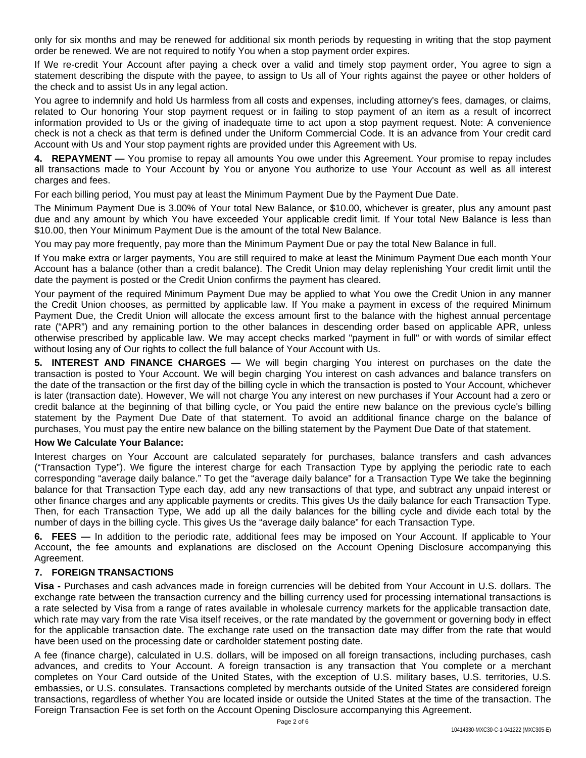only for six months and may be renewed for additional six month periods by requesting in writing that the stop payment order be renewed. We are not required to notify You when a stop payment order expires.

If We re-credit Your Account after paying a check over a valid and timely stop payment order, You agree to sign a statement describing the dispute with the payee, to assign to Us all of Your rights against the payee or other holders of the check and to assist Us in any legal action.

You agree to indemnify and hold Us harmless from all costs and expenses, including attorney's fees, damages, or claims, related to Our honoring Your stop payment request or in failing to stop payment of an item as a result of incorrect information provided to Us or the giving of inadequate time to act upon a stop payment request. Note: A convenience check is not a check as that term is defined under the Uniform Commercial Code. It is an advance from Your credit card Account with Us and Your stop payment rights are provided under this Agreement with Us.

**4. REPAYMENT —** You promise to repay all amounts You owe under this Agreement. Your promise to repay includes all transactions made to Your Account by You or anyone You authorize to use Your Account as well as all interest charges and fees.

For each billing period, You must pay at least the Minimum Payment Due by the Payment Due Date.

The Minimum Payment Due is 3.00% of Your total New Balance, or \$10.00, whichever is greater, plus any amount past due and any amount by which You have exceeded Your applicable credit limit. If Your total New Balance is less than \$10.00, then Your Minimum Payment Due is the amount of the total New Balance.

You may pay more frequently, pay more than the Minimum Payment Due or pay the total New Balance in full.

If You make extra or larger payments, You are still required to make at least the Minimum Payment Due each month Your Account has a balance (other than a credit balance). The Credit Union may delay replenishing Your credit limit until the date the payment is posted or the Credit Union confirms the payment has cleared.

Your payment of the required Minimum Payment Due may be applied to what You owe the Credit Union in any manner the Credit Union chooses, as permitted by applicable law. If You make a payment in excess of the required Minimum Payment Due, the Credit Union will allocate the excess amount first to the balance with the highest annual percentage rate ("APR") and any remaining portion to the other balances in descending order based on applicable APR, unless otherwise prescribed by applicable law. We may accept checks marked "payment in full" or with words of similar effect without losing any of Our rights to collect the full balance of Your Account with Us.

**5. INTEREST AND FINANCE CHARGES —** We will begin charging You interest on purchases on the date the transaction is posted to Your Account. We will begin charging You interest on cash advances and balance transfers on the date of the transaction or the first day of the billing cycle in which the transaction is posted to Your Account, whichever is later (transaction date). However, We will not charge You any interest on new purchases if Your Account had a zero or credit balance at the beginning of that billing cycle, or You paid the entire new balance on the previous cycle's billing statement by the Payment Due Date of that statement. To avoid an additional finance charge on the balance of purchases, You must pay the entire new balance on the billing statement by the Payment Due Date of that statement.

### **How We Calculate Your Balance:**

Interest charges on Your Account are calculated separately for purchases, balance transfers and cash advances ("Transaction Type"). We figure the interest charge for each Transaction Type by applying the periodic rate to each corresponding "average daily balance." To get the "average daily balance" for a Transaction Type We take the beginning balance for that Transaction Type each day, add any new transactions of that type, and subtract any unpaid interest or other finance charges and any applicable payments or credits. This gives Us the daily balance for each Transaction Type. Then, for each Transaction Type, We add up all the daily balances for the billing cycle and divide each total by the number of days in the billing cycle. This gives Us the "average daily balance" for each Transaction Type.

**6. FEES —** In addition to the periodic rate, additional fees may be imposed on Your Account. If applicable to Your Account, the fee amounts and explanations are disclosed on the Account Opening Disclosure accompanying this Agreement.

## **7. FOREIGN TRANSACTIONS**

**Visa -** Purchases and cash advances made in foreign currencies will be debited from Your Account in U.S. dollars. The exchange rate between the transaction currency and the billing currency used for processing international transactions is a rate selected by Visa from a range of rates available in wholesale currency markets for the applicable transaction date, which rate may vary from the rate Visa itself receives, or the rate mandated by the government or governing body in effect for the applicable transaction date. The exchange rate used on the transaction date may differ from the rate that would have been used on the processing date or cardholder statement posting date.

A fee (finance charge), calculated in U.S. dollars, will be imposed on all foreign transactions, including purchases, cash advances, and credits to Your Account. A foreign transaction is any transaction that You complete or a merchant completes on Your Card outside of the United States, with the exception of U.S. military bases, U.S. territories, U.S. embassies, or U.S. consulates. Transactions completed by merchants outside of the United States are considered foreign transactions, regardless of whether You are located inside or outside the United States at the time of the transaction. The Foreign Transaction Fee is set forth on the Account Opening Disclosure accompanying this Agreement.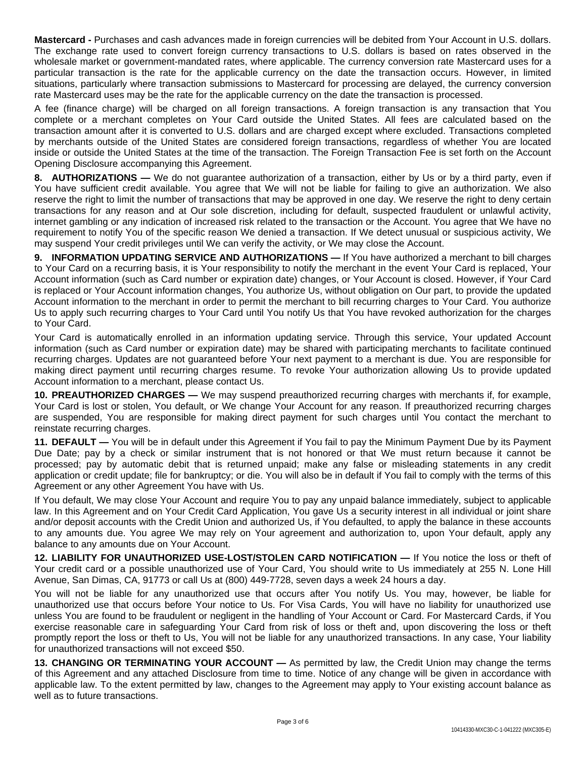**Mastercard -** Purchases and cash advances made in foreign currencies will be debited from Your Account in U.S. dollars. The exchange rate used to convert foreign currency transactions to U.S. dollars is based on rates observed in the wholesale market or government-mandated rates, where applicable. The currency conversion rate Mastercard uses for a particular transaction is the rate for the applicable currency on the date the transaction occurs. However, in limited situations, particularly where transaction submissions to Mastercard for processing are delayed, the currency conversion rate Mastercard uses may be the rate for the applicable currency on the date the transaction is processed.

A fee (finance charge) will be charged on all foreign transactions. A foreign transaction is any transaction that You complete or a merchant completes on Your Card outside the United States. All fees are calculated based on the transaction amount after it is converted to U.S. dollars and are charged except where excluded. Transactions completed by merchants outside of the United States are considered foreign transactions, regardless of whether You are located inside or outside the United States at the time of the transaction. The Foreign Transaction Fee is set forth on the Account Opening Disclosure accompanying this Agreement.

**8. AUTHORIZATIONS —** We do not guarantee authorization of a transaction, either by Us or by a third party, even if You have sufficient credit available. You agree that We will not be liable for failing to give an authorization. We also reserve the right to limit the number of transactions that may be approved in one day. We reserve the right to deny certain transactions for any reason and at Our sole discretion, including for default, suspected fraudulent or unlawful activity, internet gambling or any indication of increased risk related to the transaction or the Account. You agree that We have no requirement to notify You of the specific reason We denied a transaction. If We detect unusual or suspicious activity, We may suspend Your credit privileges until We can verify the activity, or We may close the Account.

**9. INFORMATION UPDATING SERVICE AND AUTHORIZATIONS —** If You have authorized a merchant to bill charges to Your Card on a recurring basis, it is Your responsibility to notify the merchant in the event Your Card is replaced, Your Account information (such as Card number or expiration date) changes, or Your Account is closed. However, if Your Card is replaced or Your Account information changes, You authorize Us, without obligation on Our part, to provide the updated Account information to the merchant in order to permit the merchant to bill recurring charges to Your Card. You authorize Us to apply such recurring charges to Your Card until You notify Us that You have revoked authorization for the charges to Your Card.

Your Card is automatically enrolled in an information updating service. Through this service, Your updated Account information (such as Card number or expiration date) may be shared with participating merchants to facilitate continued recurring charges. Updates are not guaranteed before Your next payment to a merchant is due. You are responsible for making direct payment until recurring charges resume. To revoke Your authorization allowing Us to provide updated Account information to a merchant, please contact Us.

**10. PREAUTHORIZED CHARGES —** We may suspend preauthorized recurring charges with merchants if, for example, Your Card is lost or stolen, You default, or We change Your Account for any reason. If preauthorized recurring charges are suspended, You are responsible for making direct payment for such charges until You contact the merchant to reinstate recurring charges.

**11. DEFAULT —** You will be in default under this Agreement if You fail to pay the Minimum Payment Due by its Payment Due Date; pay by a check or similar instrument that is not honored or that We must return because it cannot be processed; pay by automatic debit that is returned unpaid; make any false or misleading statements in any credit application or credit update; file for bankruptcy; or die. You will also be in default if You fail to comply with the terms of this Agreement or any other Agreement You have with Us.

If You default, We may close Your Account and require You to pay any unpaid balance immediately, subject to applicable law. In this Agreement and on Your Credit Card Application, You gave Us a security interest in all individual or joint share and/or deposit accounts with the Credit Union and authorized Us, if You defaulted, to apply the balance in these accounts to any amounts due. You agree We may rely on Your agreement and authorization to, upon Your default, apply any balance to any amounts due on Your Account.

**12. LIABILITY FOR UNAUTHORIZED USE-LOST/STOLEN CARD NOTIFICATION —** If You notice the loss or theft of Your credit card or a possible unauthorized use of Your Card, You should write to Us immediately at 255 N. Lone Hill Avenue, San Dimas, CA, 91773 or call Us at (800) 449-7728, seven days a week 24 hours a day.

You will not be liable for any unauthorized use that occurs after You notify Us. You may, however, be liable for unauthorized use that occurs before Your notice to Us. For Visa Cards, You will have no liability for unauthorized use unless You are found to be fraudulent or negligent in the handling of Your Account or Card. For Mastercard Cards, if You exercise reasonable care in safeguarding Your Card from risk of loss or theft and, upon discovering the loss or theft promptly report the loss or theft to Us, You will not be liable for any unauthorized transactions. In any case, Your liability for unauthorized transactions will not exceed \$50.

**13. CHANGING OR TERMINATING YOUR ACCOUNT —** As permitted by law, the Credit Union may change the terms of this Agreement and any attached Disclosure from time to time. Notice of any change will be given in accordance with applicable law. To the extent permitted by law, changes to the Agreement may apply to Your existing account balance as well as to future transactions.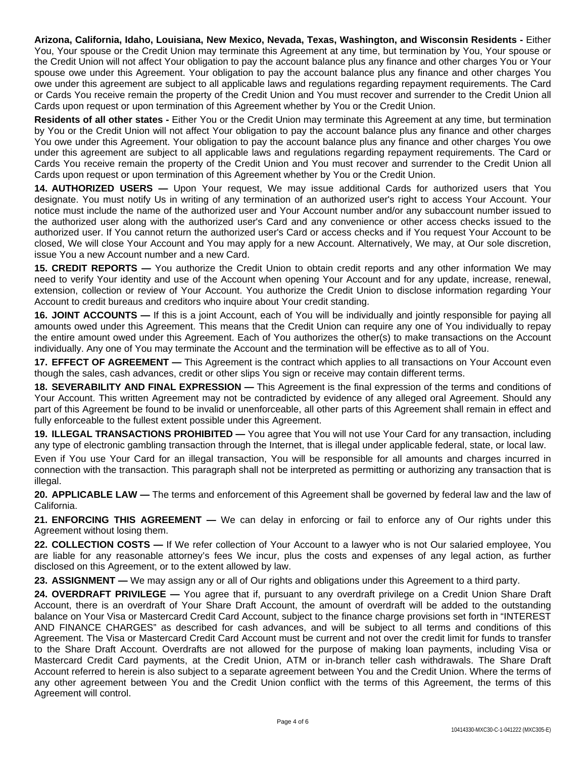**Arizona, California, Idaho, Louisiana, New Mexico, Nevada, Texas, Washington, and Wisconsin Residents -** Either You, Your spouse or the Credit Union may terminate this Agreement at any time, but termination by You, Your spouse or the Credit Union will not affect Your obligation to pay the account balance plus any finance and other charges You or Your spouse owe under this Agreement. Your obligation to pay the account balance plus any finance and other charges You owe under this agreement are subject to all applicable laws and regulations regarding repayment requirements. The Card or Cards You receive remain the property of the Credit Union and You must recover and surrender to the Credit Union all Cards upon request or upon termination of this Agreement whether by You or the Credit Union.

**Residents of all other states -** Either You or the Credit Union may terminate this Agreement at any time, but termination by You or the Credit Union will not affect Your obligation to pay the account balance plus any finance and other charges You owe under this Agreement. Your obligation to pay the account balance plus any finance and other charges You owe under this agreement are subject to all applicable laws and regulations regarding repayment requirements. The Card or Cards You receive remain the property of the Credit Union and You must recover and surrender to the Credit Union all Cards upon request or upon termination of this Agreement whether by You or the Credit Union.

**14. AUTHORIZED USERS —** Upon Your request, We may issue additional Cards for authorized users that You designate. You must notify Us in writing of any termination of an authorized user's right to access Your Account. Your notice must include the name of the authorized user and Your Account number and/or any subaccount number issued to the authorized user along with the authorized user's Card and any convenience or other access checks issued to the authorized user. If You cannot return the authorized user's Card or access checks and if You request Your Account to be closed, We will close Your Account and You may apply for a new Account. Alternatively, We may, at Our sole discretion, issue You a new Account number and a new Card.

**15. CREDIT REPORTS —** You authorize the Credit Union to obtain credit reports and any other information We may need to verify Your identity and use of the Account when opening Your Account and for any update, increase, renewal, extension, collection or review of Your Account. You authorize the Credit Union to disclose information regarding Your Account to credit bureaus and creditors who inquire about Your credit standing.

**16. JOINT ACCOUNTS —** If this is a joint Account, each of You will be individually and jointly responsible for paying all amounts owed under this Agreement. This means that the Credit Union can require any one of You individually to repay the entire amount owed under this Agreement. Each of You authorizes the other(s) to make transactions on the Account individually. Any one of You may terminate the Account and the termination will be effective as to all of You.

**17. EFFECT OF AGREEMENT —** This Agreement is the contract which applies to all transactions on Your Account even though the sales, cash advances, credit or other slips You sign or receive may contain different terms.

**18. SEVERABILITY AND FINAL EXPRESSION —** This Agreement is the final expression of the terms and conditions of Your Account. This written Agreement may not be contradicted by evidence of any alleged oral Agreement. Should any part of this Agreement be found to be invalid or unenforceable, all other parts of this Agreement shall remain in effect and fully enforceable to the fullest extent possible under this Agreement.

**19. ILLEGAL TRANSACTIONS PROHIBITED —** You agree that You will not use Your Card for any transaction, including any type of electronic gambling transaction through the Internet, that is illegal under applicable federal, state, or local law.

Even if You use Your Card for an illegal transaction, You will be responsible for all amounts and charges incurred in connection with the transaction. This paragraph shall not be interpreted as permitting or authorizing any transaction that is illegal.

**20. APPLICABLE LAW —** The terms and enforcement of this Agreement shall be governed by federal law and the law of California.

**21. ENFORCING THIS AGREEMENT —** We can delay in enforcing or fail to enforce any of Our rights under this Agreement without losing them.

**22. COLLECTION COSTS —** If We refer collection of Your Account to a lawyer who is not Our salaried employee, You are liable for any reasonable attorney's fees We incur, plus the costs and expenses of any legal action, as further disclosed on this Agreement, or to the extent allowed by law.

**23. ASSIGNMENT —** We may assign any or all of Our rights and obligations under this Agreement to a third party.

**24. OVERDRAFT PRIVILEGE —** You agree that if, pursuant to any overdraft privilege on a Credit Union Share Draft Account, there is an overdraft of Your Share Draft Account, the amount of overdraft will be added to the outstanding balance on Your Visa or Mastercard Credit Card Account, subject to the finance charge provisions set forth in "INTEREST AND FINANCE CHARGES" as described for cash advances, and will be subject to all terms and conditions of this Agreement. The Visa or Mastercard Credit Card Account must be current and not over the credit limit for funds to transfer to the Share Draft Account. Overdrafts are not allowed for the purpose of making loan payments, including Visa or Mastercard Credit Card payments, at the Credit Union, ATM or in-branch teller cash withdrawals. The Share Draft Account referred to herein is also subject to a separate agreement between You and the Credit Union. Where the terms of any other agreement between You and the Credit Union conflict with the terms of this Agreement, the terms of this Agreement will control.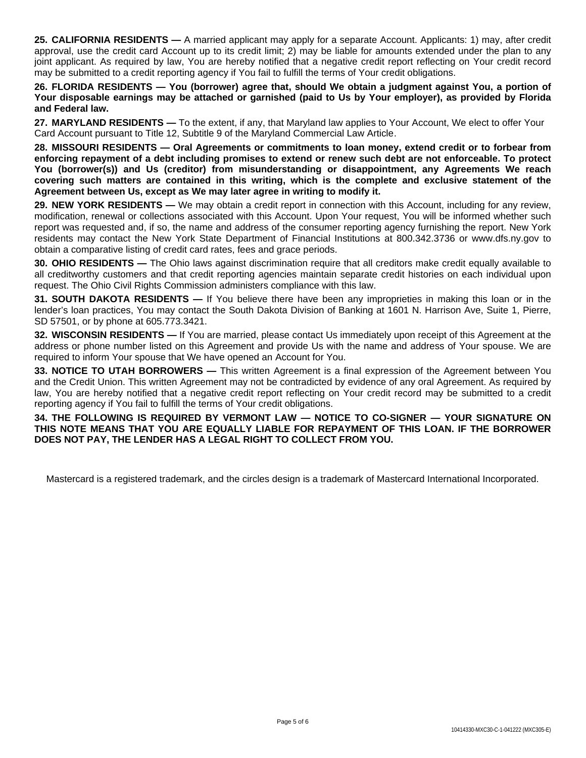**25. CALIFORNIA RESIDENTS —** A married applicant may apply for a separate Account. Applicants: 1) may, after credit approval, use the credit card Account up to its credit limit; 2) may be liable for amounts extended under the plan to any joint applicant. As required by law, You are hereby notified that a negative credit report reflecting on Your credit record may be submitted to a credit reporting agency if You fail to fulfill the terms of Your credit obligations.

26. FLORIDA RESIDENTS — You (borrower) agree that, should We obtain a judgment against You, a portion of Your disposable earnings may be attached or garnished (paid to Us by Your employer), as provided by Florida **and Federal law.**

**27. MARYLAND RESIDENTS —** To the extent, if any, that Maryland law applies to Your Account, We elect to offer Your Card Account pursuant to Title 12, Subtitle 9 of the Maryland Commercial Law Article.

**28. MISSOURI RESIDENTS — Oral Agreements or commitments to loan money, extend credit or to forbear from** enforcing repayment of a debt including promises to extend or renew such debt are not enforceable. To protect **You (borrower(s)) and Us (creditor) from misunderstanding or disappointment, any Agreements We reach covering such matters are contained in this writing, which is the complete and exclusive statement of the Agreement between Us, except as We may later agree in writing to modify it.**

**29. NEW YORK RESIDENTS —** We may obtain a credit report in connection with this Account, including for any review, modification, renewal or collections associated with this Account. Upon Your request, You will be informed whether such report was requested and, if so, the name and address of the consumer reporting agency furnishing the report. New York residents may contact the New York State Department of Financial Institutions at 800.342.3736 or www.dfs.ny.gov to obtain a comparative listing of credit card rates, fees and grace periods.

**30. OHIO RESIDENTS —** The Ohio laws against discrimination require that all creditors make credit equally available to all creditworthy customers and that credit reporting agencies maintain separate credit histories on each individual upon request. The Ohio Civil Rights Commission administers compliance with this law.

**31. SOUTH DAKOTA RESIDENTS —** If You believe there have been any improprieties in making this loan or in the lender's loan practices, You may contact the South Dakota Division of Banking at 1601 N. Harrison Ave, Suite 1, Pierre, SD 57501, or by phone at 605.773.3421.

**32. WISCONSIN RESIDENTS —** If You are married, please contact Us immediately upon receipt of this Agreement at the address or phone number listed on this Agreement and provide Us with the name and address of Your spouse. We are required to inform Your spouse that We have opened an Account for You.

**33. NOTICE TO UTAH BORROWERS —** This written Agreement is a final expression of the Agreement between You and the Credit Union. This written Agreement may not be contradicted by evidence of any oral Agreement. As required by law, You are hereby notified that a negative credit report reflecting on Your credit record may be submitted to a credit reporting agency if You fail to fulfill the terms of Your credit obligations.

**34. THE FOLLOWING IS REQUIRED BY VERMONT LAW — NOTICE TO CO-SIGNER — YOUR SIGNATURE ON THIS NOTE MEANS THAT YOU ARE EQUALLY LIABLE FOR REPAYMENT OF THIS LOAN. IF THE BORROWER DOES NOT PAY, THE LENDER HAS A LEGAL RIGHT TO COLLECT FROM YOU.**

Mastercard is a registered trademark, and the circles design is a trademark of Mastercard International Incorporated.